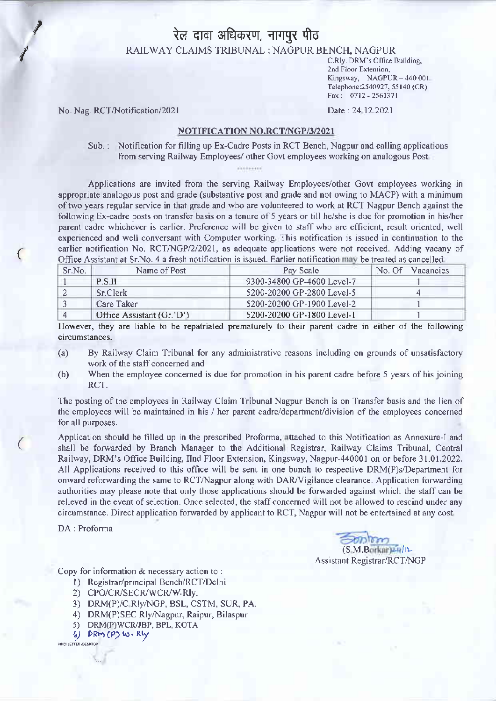## रेल दावा अधिकरण, नागपुर पीठ

RAILWAY CLAIMS TRIBUNAL : NAGPUR BENCH, NAGPUR

C.Rly. DRM's Office Building, 2nd Floor Extention, Kingsway, NAGPUR - 440 001 Telephone: 2540927, 55140 (CR) Fax: 0712 - 2561371

Date: 24 12.2021

No. Nag. RCT/Notification/2021

## NOTIFICATION NO.RCT/NGP/3/2021

Sub.: Notification for filling up Ex-Cadre Posts in RCT Bench, Nagpur and calling applications from serving Railway Employees/ other Govt employees working on analogous Post

Applications are invited from the serving Railway Employees/other Govt employees working in appropriate analogous post and grade (substantive post and grade and not owing to MACP) with a minimum of two years regular service in that grade and who are volunteered to work at RCT Nagpur Bench against the following Ex-cadre posts on transfer basis on a tenure of 5 years or till he/she is due for promotion in his/her parent cadre whichever is earlier. Preference will be given to staff who are efficient, result oriented, well experienced and well conversant with Computer working. This notification is issued in continuation to the earlier notification No. RCT/NGP/2/2021, as adequate applications were not received. Adding vacany of Office Assistant at Sr.No. 4 a fresh notification is issued. Earlier notification may be treated as cancelled.

| Sr.No. | Name of Post              | Pay Scale                  | No. Of.<br>Vacancies |
|--------|---------------------------|----------------------------|----------------------|
|        | PSH                       | 9300-34800 GP-4600 Level-7 |                      |
|        | <b>Sr.Clerk</b>           | 5200-20200 GP-2800 Level-5 |                      |
|        | Care Taker                | 5200-20200 GP-1900 Level-2 |                      |
|        | Office Assistant (Gr.'D') | 5200-20200 GP-1800 Level-1 |                      |

However, they are liable to be repatriated prematurely to their parent cadre in either of the following circumstances.

- $(a)$ By Railway Claim Tribunal for any administrative reasons including on grounds of unsatisfactory work of the staff concerned and
- $(b)$ When the employee concerned is due for promotion in his parent cadre before 5 years of his joining RCT.

The posting of the employees in Railway Claim Tribunal Nagpur Bench is on Transfer basis and the lien of the employees will be maintained in his / her parent cadre/department/division of the employees concerned for all purposes.

Application should be filled up in the prescribed Proforma, attached to this Notification as Annexure-I and shall be forwarded by Branch Manager to the Additional Registrar, Railway Claims Tribunal, Central Railway, DRM's Office Building, IInd Floor Extension, Kingsway, Nagpur-440001 on or before 31.01.2022. All Applications received to this office will be sent in one bunch to respective DRM(P)s/Department for onward reforwarding the same to RCT/Nagpur along with DAR/Vigilance clearance. Application forwarding authorities may please note that only those applications should be forwarded against which the staff can be relieved in the event of selection. Once selected, the staff concerned will not be allowed to rescind under any circumstance. Direct application forwarded by applicant to RCT, Nagpur will not be entertained at any cost

DA: Proforma

(S.M.Borkar)24/12 **Assistant Registrar/RCT/NGP** 

Copy for information & necessary action to:

- 1) Registrar/principal Bench/RCT/Delhi
- 2) CPO/CR/SECR/WCR/W.Rly.
- 3) DRM(P)/C Rly/NGP, BSL, CSTM, SUR, PA.
- 4) DRM(P)SEC Rly/Nagpur, Raipur, Bilaspur
- 5) DRM(P)WCR/JBP, BPL, KOTA
- 6) DRM (P) W. Rly

HINDI LETTER /DESKTOP